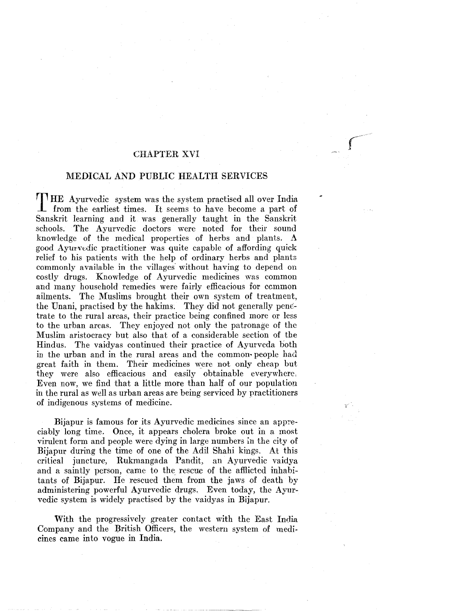# CHAPTER XVI

# MEDICAL AND PUBLIC HEALTH SERVICES

T HE Ayurvedic system was the system practised all over India from the earliest times. It seems to have become a part of Sanskrit learning and it was generally taught in the Sanskrit schools. The Ayurvedic doctors were noted for their sound knowledge of the medical properties of herbs and plants. A good Ayurvedic practitioner was quite capable of affording quick relief to his patients with the help of ordinary herbs and plants commonly available in the villages without having to depend on costly drugs. Knowledge of Ayurvedic medicines was common and many household remedies were fairly efficacious for ccmmon ailments. The Muslims brought their own system of treatment, the Unani, practised by the hakims. They did not generally penetrate to the rural areas, their practice being confined more or less to the urban areas. They enjoyed not only the patronage of the Muslim aristocracy but also that of a considerable section of the Hindus. The vaidyas continued their practice of Ayurveda both in the urban and in the rural areas and the common· people had great faith in them. Their medicines were not only cheap but they were also efficacious and easily obtainable everywhere, Even now, we find that a little more than half of our population in the rural as wdl as urban areas are being serviced by practitioners of indigenous systems of medicine.

Bijapur is famous for its Ayurvedic medicines since an appreciably long time. Once, it appears cholera broke out in a most virulent form and people were dying in large numbers in the city of Bijapur during the time of one of the Adil Shahi kings. At this critical juncture, Rukmangada Pandit, an Ayurvedic vaidya and a saintly person, came to the rescue of the afflicted inhabitants of Bijapur. He rescued them from the jaws of death by administering powerful Ayurvedic drugs. Even today, the Ayurvedic system is widely practised by the vaidyas in Bijapur.

With the progressively greater contact with the East India Company and the British Officers, the western system of medicines came into vogue in India.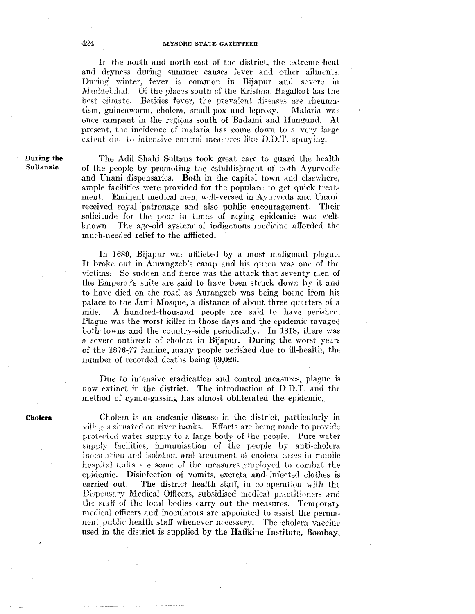In the north and north-east of the district, the extreme heat and dryness during summer causes fever and other ailments. During winter, fever is common in Bijapur and .severe in Muddebihal. Of the places south of the Krishna, Bagalkot has the best climate. Besides fever, the preva'ent diseases are rheumatism, guineaworm, cholera, small-pox and leprosy. Malaria was once rampant in the regions south of Badami and Hungund. At present, the incidence of malaria has come down to a very large extent due to intensive control measures like D.D.T. spraying.

During **the**  Sultanate

The Adil Shahi Sultans took great care to guard the health of the people by promoting the establishment of both Ayurvedic and Unani dispensaries. Both in the capital town and elsewhere, . ample facilities were provided for the populace to get quick treatment. Eminent medical men, well-versed in Ayurveda and Unani received royal patronage and also public encouragement. Their solicitude for the poor in times of raging epidemics was wellknown. The age-old system of indigenous medicine afforded the much-needed relief to the afflicted.

In 1689, Bijapur was afflicted by a most malignant plague. It broke out in Aurangzeb's camp and his queen was one of the victims. So sudden and fierce was the attack that seventy men of the Emperor's suite are said to have been struck down by it and to have died on the road as Aurangzeb was being borne from his palace to the Jami Mosque, a distance of about three quarters of a mile. A hundred-thousand people are said to have perished, Plague was the worst killer in those days and the epidemic ravaged both towns and the country-side periodically. In 1818, there was a severe outbreak of cholera in Bijapur. During the worst yean of the 1876-77 famine, many people perished due to ill-health, the number of recorded deaths being 69,026.

Due to intensive eradication and control measures, plague is now extinct in the district. The introduction of D.D.T. and the method of cyano-gassing has almost obliterated the epidemic.

**Cholera** 

Cholera is an endemic disease in the district, particularly in villages situated on river hanks. Efforts are being made to provide protected water supply to a large body of the people. Pure water supply facilities, immunisation of the people by anti-cholera inoculation and isolation and treatment of cholera cases in mobile hospital units are some of the measures employed to combat the epidemic. Disinfection of vomits, excreta and infected clothes is carried out. The district health staff, in co-operation with the Dispensary Medical Officers, subsidised medical practitioners and the staff of the local bodies carry out the measures. Temporary medical officers and inoculators are appointed to assist the permanent public health staff whenever necessary. The cholera vaccine used in the district is supplied by the Haffkine Institute, Bombay,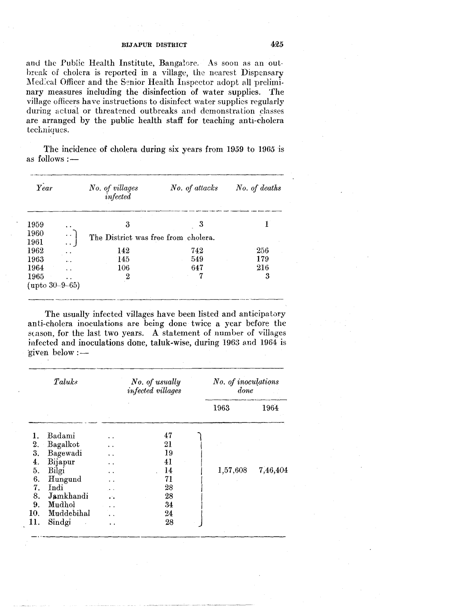and the Public Health Institute, Bangalore. As soon as an outbreak of cholera is reported in a village, the nearest Dispensary Medical Officer and the Senior Health Inspector adopt nll preliminary measures including the disinfection of water supplies. The village officers have instructions to disinfect water supplies regularly during actual or threatened outbreaks and demonstration classes are arranged by the public health staff for teaching anti-cholera techniques.

The incidence of cholera during six years from  $1959$  to  $1965$  is as follows :  $-$ 

| Year                          |                                       | No. of villages<br>infected         | No. of attacks | No. of deaths |
|-------------------------------|---------------------------------------|-------------------------------------|----------------|---------------|
| 1959                          |                                       | 3                                   | 3              |               |
| 1960<br>1961                  | $\ddot{\phantom{a}}$<br>$\sim$ $\sim$ | The District was free from cholera. |                |               |
| 1962                          |                                       | 142                                 | 742            | 256           |
| 1963                          | . .                                   | 145                                 | 549            | 179           |
| 1964                          |                                       | 106                                 | 647            | 216           |
| 1965<br>(upto $30 - 9 - 65$ ) | . .                                   | 2                                   | 7              | 3             |

The usually infected villages have been listed and anticipatory anti-cholera inoculations are being done twice a year before the season, for the last two years. A statement of number of villages infected and inoculations done, taluk-wise, during 1963 3.nd 1964 is 'given below :

| Taluks           |            |                      | No. of usually<br>infected villages |          | No. of inoculations<br>done |  |  |
|------------------|------------|----------------------|-------------------------------------|----------|-----------------------------|--|--|
|                  |            |                      |                                     | 1963     | 1964                        |  |  |
|                  | Badami     |                      | 47                                  |          |                             |  |  |
| 2.               | Bagalkot   | $\ddot{\phantom{0}}$ | 21                                  |          |                             |  |  |
| 3.               | Bagewadi   | $\ddot{\phantom{0}}$ | 19                                  |          |                             |  |  |
| $\overline{4}$ . | Bijapur    |                      | 41                                  |          |                             |  |  |
| 5.               | Bilgi      | . .                  | 14                                  | 1,57,608 | 7,46,404                    |  |  |
| 6.               | Hungund    |                      | 71                                  |          |                             |  |  |
| 7.               | Indi       |                      | 28                                  |          |                             |  |  |
| 8.               | Jamkhandi  | ÷.                   | 28                                  |          |                             |  |  |
| 9.               | Mudhol     |                      | 34                                  |          |                             |  |  |
| 10.              | Muddebihal |                      | 24                                  |          |                             |  |  |
| 11.              | Sindgi     | $\bullet$            | 28                                  |          |                             |  |  |
|                  |            |                      |                                     |          |                             |  |  |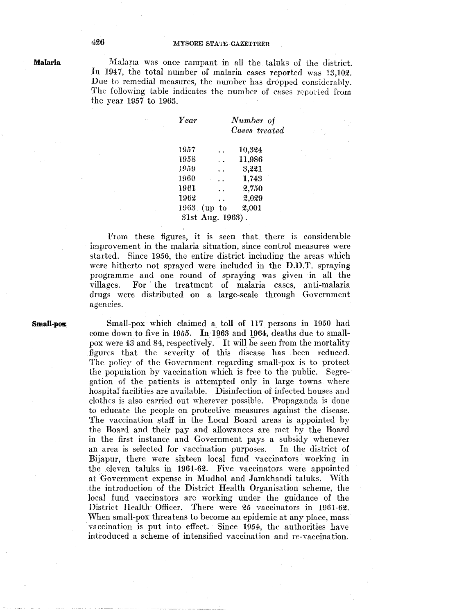Malapa was once rampant in all the taluks of the district. In 1947, the total number of malaria cases reported was 13,102. Due to remedial measures, the number has dropped considerably. The following table indicates the number of cases reported from the year 1957 to 1963.

| <b>Year</b>     |                      | Number of     |  |
|-----------------|----------------------|---------------|--|
|                 |                      | Cases treated |  |
|                 |                      |               |  |
| 1957            |                      | 10,324        |  |
| 1958            | $\ddot{\phantom{0}}$ | 11,986        |  |
| 1959            |                      | 3,221         |  |
| 1960            |                      | 1,743         |  |
| 1961            |                      | 2,750         |  |
| 1962            |                      | 2,029         |  |
| 1963            | $(up_{\perp} to$     | 2,001         |  |
| 31st Aug. 1963) |                      |               |  |

From these figures, it is seen that there is considerable improvement in the malaria situation, since control measures were started. Since 1956, the entire district including the areas which were hitherto not sprayed were included in the D.D.T. spraying programme and one round of spraying was given in all the villages. For ' the treatment of malaria cases, anti-malaria drugs were distributed on a large-scale through Government agencies.

**Small-pOK** 

Small-pox which claimed a toll of 117 persons in 1950 had come down to five in *1955.* In 1963 and 1964, deaths due to smallpox were 43 and 84, respectively.- It will be seen from the mortality figures that the severity of this disease has . been reduced. The policy of the Government regarding small-pox is to protect the population by vaccination which is free to the public. Segregation of the patients is attempted only in large towns where hospital' facilities are available. Disinfection of infected houses and clothes is also carried out wherever possible. Propaganda is done to educate the people on protective measures against the disease. The vaccination staff in the Local Board areas is appointed by the Board and their pay and allowances are met by the Board in the first instance and Government pays a subsidy whenever an area is selected for vaccination purposes. In the district of Bijapur, there were sixteen local fund vaccinators working in the .eleven taluks in 1961-62. Five vaccinators were appointed at Government expense in Mudhol and Jamkhandi taluks. With the introduction of the District Health Organisation scheme, the local fund vaccinators are working under the guidance of the District Health Officer. There were 25 vaccinators in 1961-62. When small-pox threatens to become an epidemic at any place, mass vaccination is put into effect. Since 1954, the authorities have introduced a scheme of intensified vaccination and re-vaccination.

**Malaria**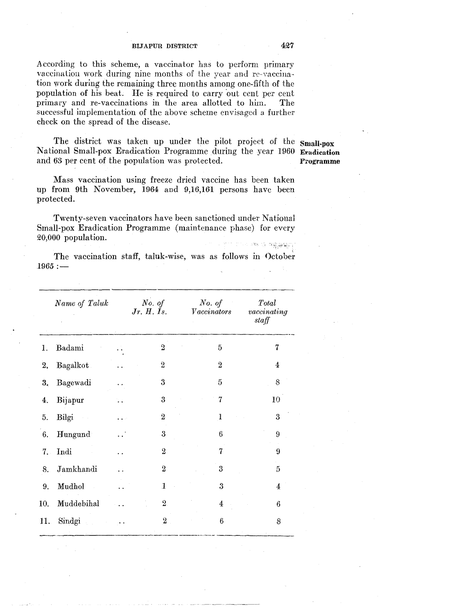According to this scheme, a vaccinator has to perform primary vaccination work during nine months of the year and re-Yaccination work during the remaining three months among one-fifth of the population of his beat. He is required to carry 'out cent per cent primary and re-vaccinations in the area allotted to him. The successful implementation of the above scheme envisaged a further check on the spread of the disease.

The district was taken up under the pilot project of the **Small-pox** National Small-pox Eradication Programme during the year 1960 Eradication<br>and 63 per cent of the population was protected. Programme and 63 per cent of the population was protected.

Mass vaccination using freeze dried vaccine has been taken up from 9th November, 1964 and 9,16,161 persons have been protected.

Twenty-seven vaccinators have been sanctioned under National Small-pox Eradication Programme (maintenance phase) for every 20,000 population.  $\mathcal{B}(\mathbb{S}^n) = \mathcal{B}(\mathbb{S}^n) \oplus \mathbb{S}(\mathbb{S}^n) \oplus \mathbb{S}^n$ 

The vaccination staff, taluk-wise, was as follows in October  $1965:$ 

|     | Name of Taluk | No. of<br>Jr. H. Is. | No. of<br>Vaccinators | Total<br>vacinating<br>staff |
|-----|---------------|----------------------|-----------------------|------------------------------|
| 1.  | Badami        | 2                    | 5                     | 7                            |
| 2.  | Bagalkot      | $\overline{2}$       | $\overline{2}$        | 4                            |
| 3,  | Bagewadi      | 3                    | 5                     | 8                            |
| 4.  | Bijapur       | $\boldsymbol{3}$     | 7                     | 10                           |
| 5.  | Bilgi         | $\overline{2}$       | 1                     | 3                            |
| 6.  | Hungund       | $\mathbf{3}$         | 6                     | 9                            |
| 7.1 | Indi          | $\overline{2}$       | 7                     | 9                            |
| 8.  | Jamkhandi     | $\boldsymbol{2}$     | 3                     | 5                            |
| 9.  | Mudhol        | $\mathbf{I}$         | $\mathbf{3}$          | 4                            |
| 10. | Muddebihal    | $\overline{2}$       | $\overline{4}$        | 6                            |
| 11. | Sindgi        | $2^{\circ}$          | $\boldsymbol{6}$      | 8                            |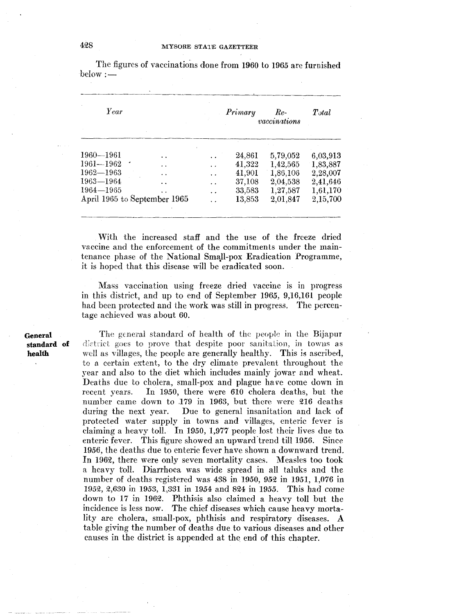| Year                         |     |                      | Primary | $Re-$<br>vaccinations | $\mathit{Total}$ |
|------------------------------|-----|----------------------|---------|-----------------------|------------------|
|                              |     |                      |         |                       |                  |
| $1960 - 1961$                |     |                      | 24,861  | 5,79,052              | 6,03,913         |
| $1961 - 1962$                | . . | . .                  | 41,322  | 1,42,565              | 1,83,887         |
| $1962 - 1963$                | . . | $\ddot{\phantom{0}}$ | 41,901  | 1,86,106              | 2,28,007         |
| $1963 - 1964$                |     | $\ddot{\phantom{0}}$ | 37,108  | 2,04,538              | 2,41,646         |
| $1964 - 1965$                |     | $\ddot{\phantom{0}}$ | 33,583  | 1,27,587              | 1,61,170         |
| April 1965 to September 1965 |     |                      | 13,853  | 2,01,847              | 2,15,700         |

The figures of vaccinations done from 1960 to 1965 are furnished  $below:$ 

With the increased staff and the use of the freeze dried vaccine and the enforcement of the commitments under the maintenance phase of the National Small-pox Eradication Programme, it is hoped that this disease will be eradicated soon.

Mass vaccination using freeze dried vaccine is in progress in this district, and up to end of September 1965, 9,16,161 people had been protected and the work was still in progress. The percentage achieved was about 60.

The general standard of health of the people in the Bijapur district goes to prove that despite poor sanitation, in towns as well as villages, the people are generally healthy. This is ascribed, to a certain extent, to the dry climate prevalent throughout the year and also to the diet which includes mainly jowar and wheat. Deaths due to cholera, small-pox and plague have come down in recent years. In 1950, there were 610 cholera deaths, but the number came down to 179 in 1963, but there were 216 deaths during the next year. Due to general insanitation and lack of protected water supply in towns and villages, enteric fever is claiming a heavy toll. In 1950, 1,977 people lost their lives due to. enteric fever. This figure showed an upward trend till 1956. Since 1956, the deaths due to enteric fever have shown a downward trend. In 1962, there were only seven mortality cases. Measles too took a heavy toll. Diarrhoea was wide spread in all taluks and the number of deaths registered was  $438$  in 1950,  $952$  in 1951, 1,076 in 1952, 2,630 in 1953, 1,331 in 1954 and 824 in 1955. This had come down to 17 in 1962. Phthisis also claimed a heavy toll but the incidence is less now. The chief diseases which cause heavy mortality are cholera, small-pox, phthisis and respiratory diseases. A table giving the number of deaths due to various diseases and other causes in the district is appended at the end of this chapter.

**General standard of health**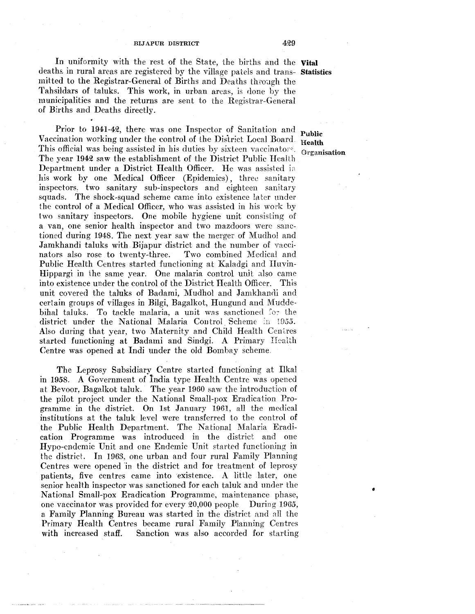In uniformity with the rest of the State, the births and the **Vital**  deaths in rural areas are registered by the village patels and trans- **Statistics** mitted to the Registrar-General of Births and Deaths through the Tahsildars of taluks. This work, in urban areas, is done by the municipalities and the returns are sent to the Registrar-General of Births and Deaths directly.

Prior to 1941-42, there was one Inspector of Sanitation and Public Vaccination working under the control of the District Local Board. Health Vaccination working under the control of the District Local Board. Health<br>This official was being assisted in his duties by sixteen vaccinators. Organi The year 1942 saw the establishment of the District Public Health Department under a District Health Officer. He was assisted in his work by one Medical Officer (Epidemics), three sanitary inspectors, two sanitary sub-inspectors and eighteen sanitary squads. The shock-squad scheme came into existence later under the control of a Medical Officer, who was assisted in his work by two sanitary inspectors. One mobile hygiene unit consisting of a van, one senior health inspector and two mazdoors were sanctioned during 1948. The next year saw the merger of Mudhol and Jamkhandi taluks with Bijapur district and the number of vaccinators also rose to twenty-three. Two combined Medical and nators also rose to twenty-three. Public Health Centres started functioning at Kaladgi and Iluvin-Hippargi in the same year. One malaria control unit also came into existence under the control of the District Health Officer. This unit covered the taluks of Badami, Mudhol and Jamkhandi and certain groups of villages in Bilgi, Bagalkot, Hungund and Mudde· bihal taluks. To tackle malaria, a unit was sanctioned for the district under the National Malaria Control Scheme in 1955. Also during that year, two Maternity and Child Health Centres started functioning at Badami and Sindgi. A Primary Health Centre was opened at Indi under the old Bombay scheme.

The Leprosy Subsidiary Centre started functioning at Ilkal in 1958. A Government of lndia type Health Centre was opened at Bevoor, Bagalkot taluk. The year 1960 saw the introduction of the pilot project under the National Small-pox Eradication Programme in the district. On 1st January 1961, all the medical institutions at the taluk level were transferred to the control of the Public Health Department. The National Malaria Eradication Programme was introduced in the district and one Hypo-endemic Unit and one Endemic Unit started funetioning in the district. In 1963, one urban and four rural Family Planning Centres were opened 'in the district and for treatment of leprosy patients, five centres carne into existence. A little later, one senior health inspector was sanctioned for each taluk and under the National Small-pox Eradication Programme, maintenance phase, one vaccinator was provided for every 20,000 people During 1965, a Family Planning Bureau was started in the distriet and all the Primary Health Centres became rural Family Planning Centres with increased staff. Sanction was also accorded for starting

Organisation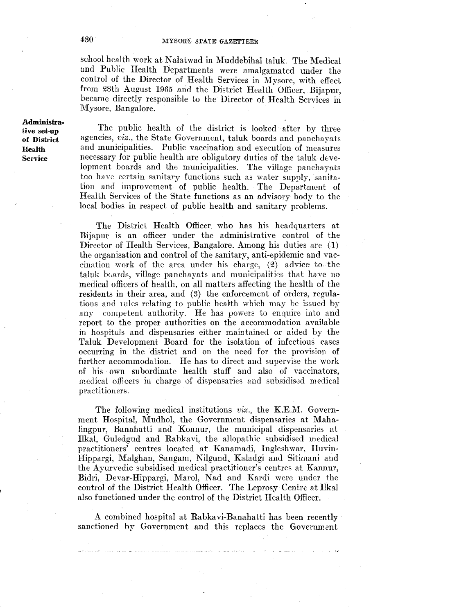school health work at Nalatwad in Muddebihal taluk. The Medical and Public Health Departments were amalgamated under the control of the Director of Health Services in Mysore, with effect from 28th August 1965 and the District Health Officer, Bijapur, became directly responsible to the Director of Health Services in Mysore, Bangalore.

**Administra**tive set-up of District Health Service

The public health of the district is looked after by three agencies, *viz.,* the State Government, taluk boards and panchayats and municipalities. Public vaccination and execution of measures necessary for public health are obligatory duties of the taluk development hoards and the municipalities. The village panchayats too have certain sanitary functions such as water supply, sanitation and improvement of public health. The Department of Health Services of the State functions as an advisory body to the local bodies in respect of public health and sanitary problems.

The District Health Officer who has his headquarters at Bijapur is an officer under the administrative control of the Director of Health Services, Bangalore. Among his duties are (I) the organisation and control of the sanitary, anti-epidemic and vaccination work of the area under his charge,  $(2)$  advice to the taluk boards, village panchayats and municipalities that have no medical officers of health, on all matters affecting the health of the residents in their area, and (3) the enforcement of orders, regulations and rules relating to public health which may be issued by any competent authority. He has powers to enquire into and report to the proper authorities on the accommodation available in hospitals and dispensaries either maintained or aided by the Taluk Development Board for the isolation of infectious cases occurring in the district and on the need for the provision of further accommodation. He has to direct and supervise the work of his own subordinate health staff and also of vaccinators, medical officers in charge of dispensaries and subsidised medical practitioners,

The following medical institutions *viz.,* the K.E.M. Government Hospital, Mudhol, the Government dispensaries at Mahalingpur, Banahatti and Konnur, the municipal dispensaries at Ilkal, Guledgud and Rabkavi, the allopathic subsidised medical practitioners' centres located at Kanamadi, Ingleshwar, Huvin-Hippargi, Malghan, Sangam, Nilgund, Kaladgi and Sitimani and the Ayurvedic subsidised medical practitioner's centres at Kannur, Bidri, Devar-Hippargi, Marol, Nad and Kardi were under the control of the District Health Officer. The Leprosy Centre at Ilkal also functioned under the control of the District Health Officer.

A combined hospital at Rabkavi-Banahatti has been recently sanctioned by Government and this replaces the Government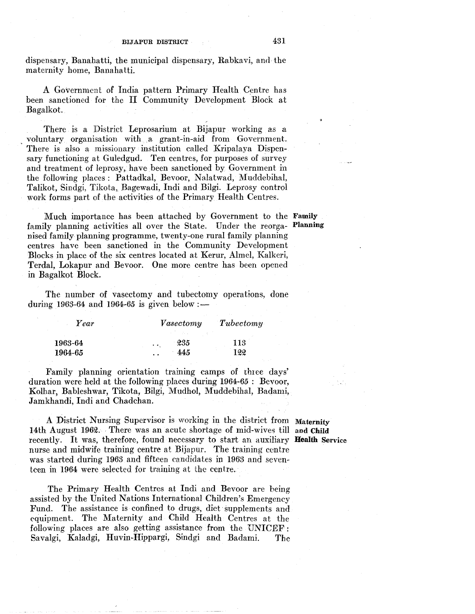dispensary, Banahatti, the municipal dispensary, Rabkavi, and the maternity home, Banahatti.

A Government of India pattern Primary Health Centre has been sanctioned for the II Community Development Block at Bagalkot.

There is a District Leprosarium at Bijapur working as a . voluntary organisation with a grant-in-aid from Government. There is also a missionary institution called Kripalaya Dispensary functioning at Guledgud. Ten centres, for purposes of survey and treatment of leprosy, have been sanctioned by Government in the following places: Pattadkal, Bevoor, Nalatwad, Muddebihal, Talikot, Sindgi, Tikota, Bagewadi, Indi and Bilgi. Leprosy control work forms part of the activities of the Primary Health Centres.

Much importance has been attached by Government to the Family family planning activities all over the State. Under the reorga- Planning nised family planning programme, twenty-one rural family planning centres have been sanctioned in the Community Development Blocks in place of the six centres located at Kerur, Almel, Kalkeri, Terdal, Lokapur and Bevoor. One more centre has been opened in Bagalkot Block.

The number of vasectomy and tubectomy operations, done during 1963-64 and 1964-65 is given below :—

| Year    | Vasectomy        | Tubectomy |
|---------|------------------|-----------|
|         |                  |           |
| 1963-64 | 235<br>$\ddotsc$ | 113       |
| 1964-65 | 445              | 122       |

Family planning orientation training camps of three days' duration were held at the following places during 1964-65 : Bevoor, Kolhar, Bableshwar, Tikota, Bilgi, Mudhol, Muddebihal, Badami, Jamkhandi, Indi and Chadchan.

A District Nursing Supervisor is working in the district from Maternity 14th August 1962. There was an acute shortage of mid-wives till and Child recently. It was, therefore, found necessary to start an auxiliary **Health** Service nurse and midwife training centre at Bijapur. The training centre was started during 1963 and fifteen candidates in 1963 and seventeen in 1964 were selected for training at the centre.

The Primary Health Centres at Indi and Bevoor are being assisted by the United Nations International Children's Emergency Fund. The assistance is confined to drugs, diet supplements and equipment. The Maternity and Child Health Centres at the following places are also getting assistance from the UNICEF : Savalgi, Kaladgi, Huvin-Hippargi, Sindgi and Badami. The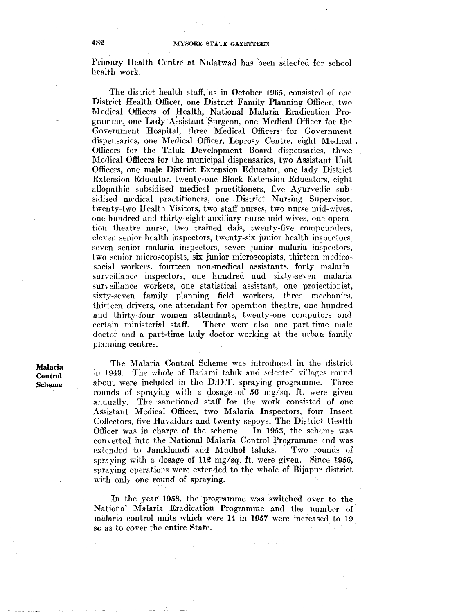Primary Health Centre at Nalatwad has been selected for school health work.

The district health staff, as in October 1965, consisted of one District Health Officer, one District Family Planning Officer, two Medical Officers of Health, National Malaria Eradication Programme,, one Lady Assistant Surgeon, one Medical Officer for the Government Hospital, three Medical Officers for Government dispensaries, one Medical Officer, Leprosy Centre, eight Medical . Officers for the Taluk Development Board dispensaries, three Medical Officers for the municipal dispensaries, two Assistant Unit Officers, one male District Extension Educator, one lady District Extension Educator, twenty-one Block Extension Educators, eight allopathic subsidised medical practitioners, five Ayurvedic subsidised medical practitioners, one District Nursing Supervisor, twenty-two Health Visitors, two staff nurses, two nurse mid-wives, one hundred and thirty-eight auxiliary nurse mid-wives, one operation theatre nurse, two trained dais, twenty-five compounders, eieven senior health inspectors, twenty-six junior health inspectors, seven senior malaria inspectors, seven junior malaria inspectors, two senior microscopists, six junior microscopists, thirteen medicosocial workers, fourteen non-medical assistants, forty malaria surveillance inspectors, one hundred and sixty-seven malaria surveillance workers, one statistical assistant, one projectionist, sixty-seven family planning field workers, three mechanics, thirteen drivers, one attendant for operation theatre, one hundred and thirty-four women attendants, twenty-one computors and certain ministerial staff. There were also one part-time male doctor and a part-time lady doctor working at the urban family planning centres.

Malaria Control Scheme

The Malaria Control Scheme was introduced in the district in 1949. The whole of Badami taluk and selected villages round about were included in the D.D.T. spraying programme. Three rounds of spraying with a dosage of *56* mg/sq. ft. were given annually. The sanctioned staff for the work consisted of one Assistant Medical Officer, two Malaria Inspectors, four Insect Collectors, five Havaldars and twenty sepoys. The District Health Officer was in charge of the scheme. converted into the National Malaria Control Programme and was extended to Jamkhandi and Mudhol taluks. Two rounds of spraying with a dosage of 112 mg/sq. ft. were given. Since 1956, spraying operations were extended to the whole of Bijapur district with only one round of spraying.

In the year 1958, the programme was switched over to the National Malaria Eradication Programme and the number of malaria control units which were 14 in 1957 were increased to 19 so as to cover the entire State.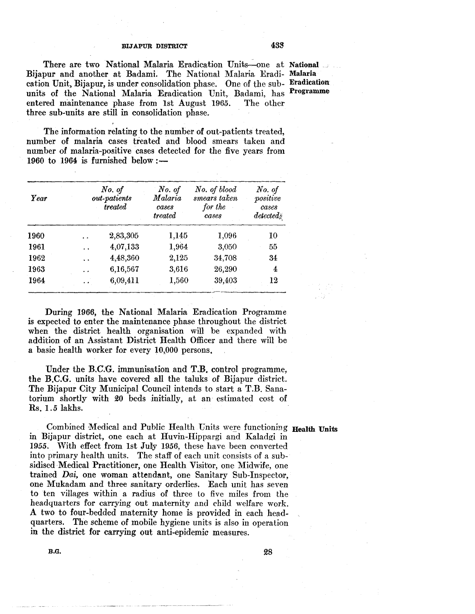There are two National Malaria Eradication Units—one at National Bijapur and another at Badami. The National Malaria Eradi- Malaria cation Unit, Bijapur, is under consolidation phase. One of the sub- Eradication units of the National Malaria Eradication Unit, Badami, has Programme entered maintenance phase from 1st August 1965. The other three sub-units are still in consolidation phase.

The information relating to the number of out-patients treated, number of malaria cases treated and blood smears taken and number of malaria-positive cases detected for the five years from 1960 to 1964 is furnished below: $-$ 

| Year |                      | No. of<br>out-patients<br>treated | No. of<br>Malaria<br>cases<br>treated | No. of blood<br>smears taken<br>for the<br>cases | No. of<br>positive<br>cases<br>detected |
|------|----------------------|-----------------------------------|---------------------------------------|--------------------------------------------------|-----------------------------------------|
| 1960 |                      | 2,83,305                          | 1,145                                 | 1,096                                            | 10                                      |
| 1961 | $\ddot{\phantom{0}}$ | 4,07,133                          | 1,964                                 | 3,050                                            | 55                                      |
| 1962 | $\ddot{\phantom{a}}$ | 4,48,360                          | 2,125                                 | 34,708                                           | 34                                      |
| 1963 | $\ddot{\phantom{0}}$ | 6,16,567                          | 3,616                                 | 26,290                                           | 4                                       |
| 1964 |                      | 6,09,411                          | 1,560                                 | 39,403                                           | 12                                      |

During 1966, the National Malaria Eradication Programme is expected to enter the maintenance phase throughout the district when the district health organisation will be expanded with addition of an Assistant District Health Officer and there will be a basic health worker for every 10,000 persons.

Under the B.C:G. immunisation and T.B. control programme, the B.C.G. units have covered all the taluks of Bijapur district. The Bijapur City Municipal Council intends to start a T.B. Sanatorium shortly with 20 beds initially, at an estimated cost of Rs. 1.5 lakhs.

Combined Medical and Public Health Units were functioning Health Units in Bijapur district, one each at Huvin-Hippargi and Kaladgi in 1955. With effect from 1st Jully *1956,* these have been converted into primary health units. The staff of each unit consists of a subsidised Medical Practitioner, one Health Visitor, one Midwife, one trained *Dai,* one woman attendant, one Sanitary Sub-Inspector, one Mukadam and three sanitary orderlies. Each unit has seven to ten villages within a radius of three to five miles from the headquarters for carrying out maternity and child welfare work. A two to four-bedded maternity home is provided in each headquarters. The scheme of mobile hygiene units is also in operation in the district for carrying out anti-epidemic measures.

 $B.G.$  and  $28$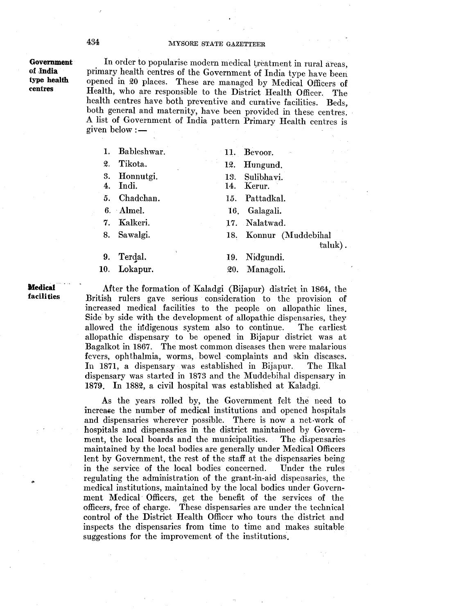## Government of ,India type health centres

In order to popularise modern medical treatment in rural areas, primary health centres of the Government of India type have been opened in 20 places. These are managed by Medical Officers of Health, who are responsible to the District Health Officer. The health centres have both preventive and curative facilities. Beds, both general and maternity, have been provided in these centres. A list of Government of India pattern Primary Health centres is given below :—

| 1. | Bableshwar.           | Bevoor.<br>11.                  |
|----|-----------------------|---------------------------------|
| 2. | Tikota.               | 12.<br>Hungund.                 |
| 4. | 3. Honnutgi.<br>Indi. | 13. Sulibhavi.<br>Kerur.<br>14. |
|    | 5. Chadchan.          | 15. Pattadkal.                  |
|    | $6.$ Almel.           | 16. Galagali.                   |
|    | 7. Kalkeri.           | 17. Nalatwad.                   |
|    | 8. Sawalgi.           | 18. Konnur (Muddebihal<br>tah   |
| 9. | Terdal.               | Nidgundi.<br>19.                |
|    | 10. Lokapur.          | 20. Managoli.                   |

**Medical facilities** 

After the formation of Kaladgi (Bijapur) district in 1864, the British rulers gave serious consideration to the provision of increased medical facilities to the people on allopathic lines. Side by side with the development of allopathic dispensaries, they allowed the indigenous system also to continue. The earliest allopathic dispensary to be opened in Bijapur district was at Bagalkot in 1867. The most common diseases then were malarious fevers, ophthalmia, worms, bowel complaints and skin diseases. In 1871, a dispensary was established in Bijapur. The Ilkal dispensary was started in 1873 and the Muddebihal dispensary in 1879. In 1882, a civil hospital was established at Kaladgi.

taluk).

As the years rolled by, the Government felt the need to increase the number of medical institutions and opened hospitals and dispensaries wherever possible. There is now a net-work of hospitals and dispensaries in the district maintained by Government, the local boards and the municipalities. The dispensaries maintained by the local bodies are generally under Medical Officers lent by Government, the rest of the staff at the dispensaries being in the service of the local bodies concerned. Under the rules regulating the administration of the grant-in-aid dispensaries, the medical institutions, maintained by the local bodies under Government Medical· Officers, get the benefit of the services of the officers, free of charge. These dispensaries are under the technical control of the District Health Officer who tours the district and inspects the dispensaries from time to time and makes suitable suggestions for the improvement of the institutions.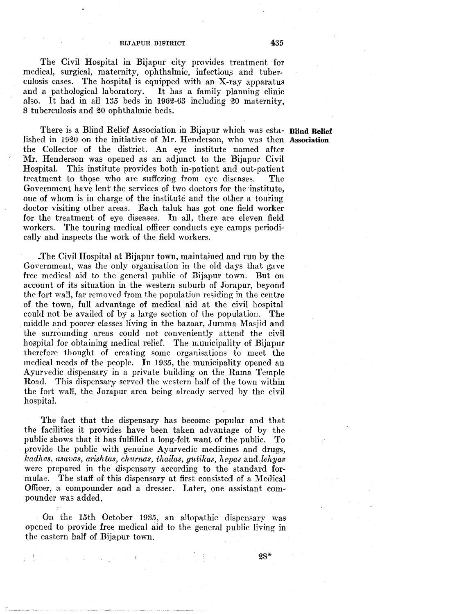The Civil Hospital in Bijapur city provides treatment for medical, surgical, maternity, ophthalmic, infectious and tuberculosis cases. The hospital is equipped with an X-ray apparatus and a pathological laboratory. It has a family planning clinic also. It had in all 135 beds in 1962-63 including 20 maternity, 8 tuberculosis and 20 ophthalmic beds.

There is a Blind Relief Association in Bijapur which was esta- **Blind Relief**  lished in 1920 on the initiative of Mr. Henderson, who was then Association the Collector of the district. An eye institute named after Mr. Henderson was opened as an adjunct to the Bijapur Civil Hospital. This institute provides both in-patient and out-patient treatment to those who are suffering from eye diseases. The Government have lent the services of two doctors for the institute, one of whom is in charge of the institute and the other a touring doctor visiting other areas. Each taluk has got one field worker for the treatment of eye diseases. In all, there are eleven field workers. The touring medical officer conducts eye camps periodically and inspects the work of the field workers.

\_The Civil Hospital at Bijapur town, maintained and run by the Government, was the only organisation in the ofd days that gave free medical aid to the general public of Bijapur town. But on account of its situation in the western suburb of Jorapur, beyond the fort wali, far removed from the population residing in the centre of the town, full advantage of medical aid at the civil hospital could not be availed of by a large section of the population. The middle and poorer classes living in the bazaar, Jumma Masjid and the surrounding areas could not conveniently attend the civil hospital for obtaining medical relief. The municipality of Bijapur therefore thought of creating some organisations to meet the medical needs of the people. In 1935, the municipality opened an Ayurvedic dispensary in a private building on the Rama Temple Road. This dispensary served the western half of the town within the fort wall, the Jorapur area being already served by the civil hospital.

The fact that the dispensary has become popular and that the facilities it provides have been taken advantage of by the public shows that it has fulfilled a long-felt want of the public. To provide the public with genuine Ayurvedic medicines and drugs, *kadhes, asavas, arishtas, churnas, thailas, gutikas, hepas and lehyas* were prepared in the dispensary according to the standard formulae. The staff of this dispensary at first consisted of a Medical Officer, a compounder and a dresser. Later, one assistant compounder was added.

On the 15th October 1935, an allopathic dispensary was opened to provide free medical aid to the general public living in the eastern half of Bijapur town.

 $\label{eq:3.1} \frac{1}{4}\sum_{i=1}^n\frac{1}{2}\left(\frac{1}{2}\sum_{i=1}^n\frac{1}{2}\sum_{i=1}^n\frac{1}{2}\sum_{i=1}^n\frac{1}{2}\sum_{i=1}^n\frac{1}{2}\sum_{i=1}^n\frac{1}{2}\sum_{i=1}^n\frac{1}{2}\sum_{i=1}^n\frac{1}{2}\sum_{i=1}^n\frac{1}{2}\sum_{i=1}^n\frac{1}{2}\sum_{i=1}^n\frac{1}{2}\sum_{i=1}^n\frac{1}{2}\sum_{i=1}^n\frac{1}{2}\sum$ 

28\*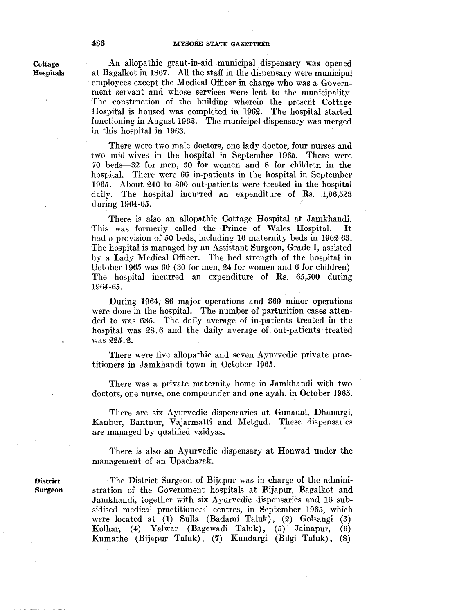An allopathic grant-in-aid municipal dispensary was opened at Bagalkot in 1867. All the staff in the dispensary were municipal - employees except the Medical Officer in charge who was a Government servant and whose services were lent to the municipality. The construction of the building wherein the present Cottage Hospital is housed was completed in 1962. The hospital started functioning in August 1962. The municipal dispensary was merged in this hospital in 1963.

There were two male doctors, one lady doctor, four nurses and two mid-wives in the hospital in September 1965. There were 70 beds-32· for men, 30 for women and 8 for children in the hospital. There were 66 in-patients in the hospital in September 1965. About 240 to 300 out-patients were treated in the hospital daily. The hospital incurred an expenditure of Rs. 1,06,523 during 1964-65.

There is also an allopathic Cottage Hospital at Jamkhandi. This was formerly called the Prince of Wales Hospital. It had a provision of 50 beds, including 16 maternity beds in 1962-63. The hospital is managed by an Assistant Surgeon, Grade I, assisted by a Lady Medical Officer. The bed strength of the hospital in October 1965 was 60 (30 for men, 24 for women and 6 for children) The hospital incurred an expenditure of Rs. 65,500 during 1964-65.

During 1964, 86 major operations and 369 minor operations were done in the hospital. The number of parturition cases attended to was 635. The daily average of in-patients treated in the hospital was 28.6 and the daily average of out-patients treated was 225.2.

There were five allopathic and seven Ayurvedic private practitioners in Jamkhandi town in October 1965.

There was a private maternity home in Jamkhandi with two doctors, one nurse, one compounder and one ayah, in October 1965.

There are six Ayurvedic dispensaries at Gunadal, Dhanargi, Kanbur, Bantnur, Vajarmatti and Metgud. These dispensaries are managed by qualified vaidyas.

There is also an Ayurvedic dispensary at Honwad under the management of an Upacharak.

The District Surgeon of Bijapur was in charge of the administration of the Government hospitals at Bijapur, Bagalkot and Jamkhandi, together with six Ayurvedic dispensaries and 16 subsidised medical practitioners' centres, in September 1965, which were located at (1) Sulla (Badami Taluk), (2) Golsangi (3) Kolhar, (4) Yalwar (Bagewadi Taluk), (5) Jainapur, (6) Kumathe (Bijapur Taluk) , (7) Kundargi (Bilgi Taluk) , (8)

Cottage Hospitals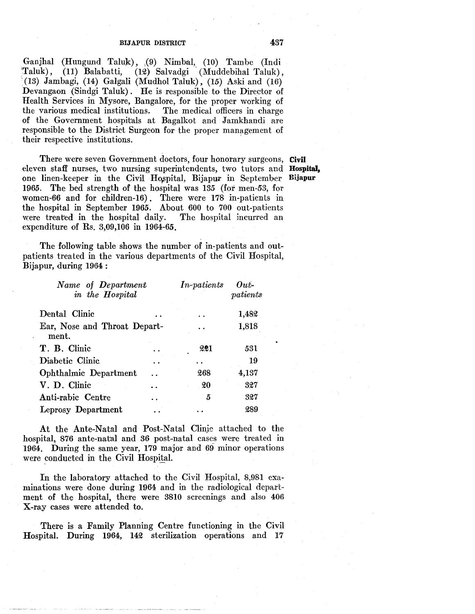Ganjhal (Hungund Taluk), (9) Nimbal, (10) Tambe (Indi 'Taluk), (11) Balabatti, (12) Salvadgi (Muddebihal Taluk),  $(13)$  Jambagi,  $(14)$  Galgali (Mudhol Taluk),  $(15)$  Aski and  $(16)$ Devangaon (Sindgi Taluk) . He is responsible to the Director of Health Services in Mysore, Bangalore, for the proper working of the various medical institutions. The medical officers in charge the various medical institutions. of the Government hospitals at Bagalkot and Jamkhandi are responsible to the District Surgeon for the proper management of their respective institutions. '

There were seven Government doctors, four honorary surgeons, Civil eleven staff nurses, two nursing superintendents, two tutors and Hospital, one linen-keeper in the Civil Hospital, Bijapur in September Bijapur 1965. The bed strength of the hospital was 135 (for men-53, for women-66 and for children-16). There were 178 in-patients in the hospital in September 1965. About 600 to 700 out-patients were treated in the hospital daily. The hospital incurred an expenditure of Rs. 3,09,106 in 1964-65.

The following table shows the number of in-patients and outpatients treated in the various departments of the Civil Hospital, Bijapur, during 1964 :

| Name of Department<br>in the Hospital | <i>In-patients</i> | $Out-$<br>$\eta$ <i>atients</i> |
|---------------------------------------|--------------------|---------------------------------|
| Dental Clinic                         |                    | 1,482                           |
| Ear, Nose and Throat Depart-<br>ment. |                    | 1,818                           |
| T. B. Clinic                          | 221                | 531                             |
| Diabetic Clinic                       |                    | 19                              |
| Ophthalmic Department                 | 268                | 4,137                           |
| V. D. Clinic                          | 20                 | 327                             |
| Anti-rabic Centre                     | 5                  | 327                             |
| Leprosy Department                    |                    | 289                             |

At the Ante-Natal and Post-Natal Clinic attached to the hospital, 876 ante-natal and 36 post-natal cases were treated in 1964. During the same year, 179 major and 69 minor operations were conducted in the Civil Hospital.

In the laboratory attached to the Civil Hospital, 8,981 examinations were done during 1964 and in the radiological department of the hospital, there were 3810 screenings and also 406 X-ray cases were attended to.

There is a Family Planning Centre functioning in the Civil Hospital. During 1964, 142 sterilization operations and 17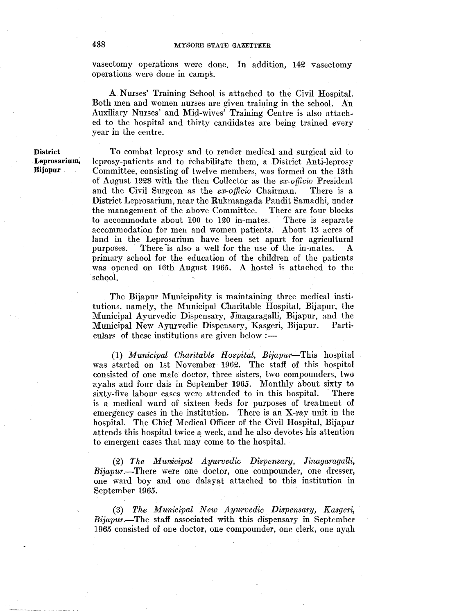vasectomy operations were done. In addition, 142 vasectomy operations were done in camps.

A.Nurses' Training School is attached to the Civil Hospital. Both men and women nurses are given training in the school. An Auxiliary Nurses' and Mid-wives' Training Centre is also attached to the hospital and thirty candidates are being trained every year in the centre.

**District Leprosarium, Bijapur** 

·To combat leprosy and to render medical and surgical aid to leprosy-patients and to rehabilitate them, a District Anti-leprosy Committee, consisting of twelve members, was formed on the 13th of August 1928 with the then Collector as the *ex-officio* President and the Civil Surgeon as the *ex-officio* Chairman. There is a District Leprosarium, near the Rukmangada Pandit Samadhi, under the management of the above Committee. There are four blocks to accommodate about 100 to 120 in-mates. There is separate accommodation for men and women patients. About 13 acres of land in the Leprosarium have been set apart for agricultural purposes. There is also a well for the use of the in-mates. A primary school for the education of the children of the patients was opened on 16th August 1965. A hostel is attached to the school.

The Bijapur Municipality is maintaining three medical institutions, namely, the Municipal Charitable Hospital, Bijapur, the Municipal Ayurvedic Dispensary, Jinagaragalli, Bijapur, and the Municipal New Ayurvedic Dispensary, Kasgeri, Bijapur. Particulars of these institutions are given below  $:$ 

(1) *Municipal Charitable Hospital, Bijapwr-This* hospital was started on 1st November 1962. The staff of this hospital consisted of one male doctor, three sisters, two compounders, two ayahs and four dais in September 1965. Monthly about sixty to sixty-five labour cases were attended to in this hospital. There is a medical ward of sixteen beds for purposes of treatment of emergency cases in the institution. There is an X-ray unit in the hospital. The Chief Medical Officer of the Civil Hospita], Bijapur attends this hospital twice a week, and he also devotes his attention to emergent cases that may come to the hospital.

(2) *The Munxicipal Ayurvedic Dispensary, Jinagaragalli, Bijapur.-There* were one doctor, one compounder, one dresser, one ward boy and one dalayat attached to this institution in September 1965.

(3) *The Municipal New Ayurvedic Dispensary, Kasgeri, Bijapur.*—The staff associated with this dispensary in September 1965 consisted of one doctor, one compounder, one clerk, one ayah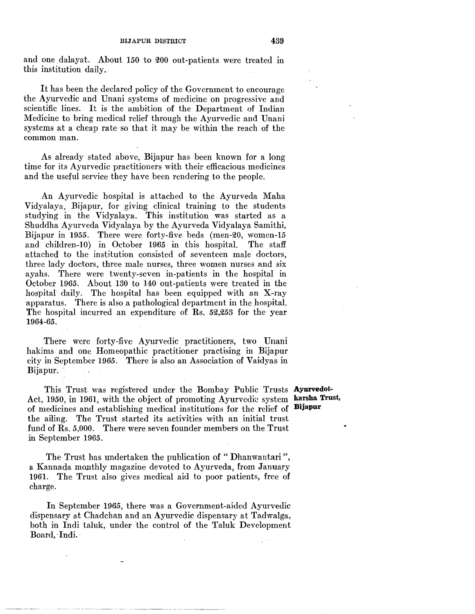and one dalayat. About 150 to 200 out-patients were treated in this institution daily.

It has been the declared policy of the Government to encourage the Ayurvedic and Unani systems of medicine on progressive and scientific lines. It is the ambition of the Department of Indian Medicine to bring medical relief through the Ayurvedic and Unani systems at a cheap rate so that it may be within the reach of the common man.

As already stated above, Bijapur has been known for a long time for its Ayurvedic practitioners with their efficacious medicines and the useful service they have been rendering to the people.

An Ayurvedic hospital is attached to the Ayurveda Maha Vidyalaya, Bijapur, for giving clinical training to the students studying. in the Vidyalaya. This institution was started as a Shuddha Ayurveda Vidyalaya by the Ayurveda Vidyalaya Samithi, Bijapur in 1955. There were forty-five beds (men-20, women-15 and children-10) in October 1965 in this hospital. The staff attached to the institution consisted of seventeen male doctors, three lady doctors, three male nurses, three women nurses and six ayahs. There were twenty-seven in-patients in the hospital in October 1965. About 130 to 140 out-patients were treated in the hospital daily. The hospital has been equipped with an X-ray apparatus. There is also a pathological department in the hospital. The hospital incurred an expenditure of Rs.  $52,253$  for the year 1964-65.

There were forty-five Ayurvedic practitioners, two Unani hakims and one Homeopathic practitioner practising in Bijapur city in September 1965. There is also an Association of Vaidyas in Bijapur.

This Trust was registered under the Bombay Public Trusts **Ayurvedot-**Act, 1950, in 1961, with the object of promoting Ayurvedic system karsha Trust, of medicines and establishing medical institutions for the relief of **Bijapur**  the ailing. The Trust started its activities with an initial trust fund of Rs. 5,000. There were seven founder members on the Trust in September 1965.

The Trust has undertaken the publication of "Dhanwantari". a Kannada monthly magazine devoted to Ayurveda, from January 1961. The Trust also gives medical aid to poor patients, free of charge.

In September 1965, there was a Government-aided Ayurvedic dispensary at Chadchan and an Ayurvedic dispensary at Tadwalga, both in Indi taluk, under the control of the Taluk Development Board, Indi.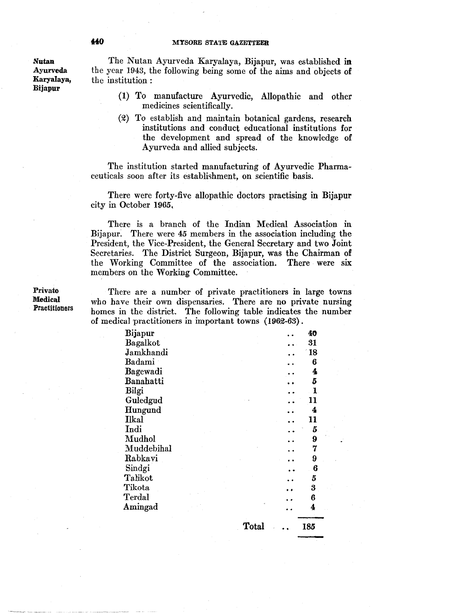Nutan Ayurveda Karyalaya, Bijapur

The Nutan Ayurveda Karyalaya, Bijapur, was established in the year 1943, the following being some of the aims and objects of the institution :

- (1) To manufacture Ayurvedic, Allopathic and other medicines scientifically.
- $(2)$  To establish and maintain botanical gardens, research institutions and conduct educational institutions for the development and spread of the knowledge of Ayurveda and allied subjects.

The institution started manufacturing of Ayurvedic Pharmaceuticals soon after its establishment, on scientific basis.

There were forty-five allopathic doctors practising in Bijapur city in October 1965,

There is a branch of the Indian Medical Association in Bijapur: There were 45 members in the association including the President, the Vice-President, the General Secretary and two Joint Secretaries. The District Surgeon, Bijapur, was the Chairman of the Working Committee of the association. There were six members on the Working Committee.

Private Medical Practitioners

There are a number of private practitioners in large towns who have their own dispensaries. There are no private nursing homes in the district. The following table indicates the number of medical practitioners in important towns (1962-63).

| Bijapur      |       | 40   |
|--------------|-------|------|
| Bagalkot     |       | 31   |
| Jamkhandi    |       | - 18 |
| Badami       |       | 6    |
| Bagewadi     |       | 4    |
| Banahatti    |       | 5    |
| Bilgi        |       | 1    |
| Guledgud     |       | 11   |
| Hungund      |       | 4    |
| <b>Ilkal</b> |       | 11   |
| Indi         |       | 5    |
| Mudhol       |       | 9    |
| Muddebihal   |       | 7    |
| Rabkavi      |       | 9    |
| Sindgi       |       | 6    |
| Talikot      |       | 5    |
| Tikota       |       | 3    |
| Terdal       |       | 6    |
| Amingad      |       | 4    |
|              | Total | 185  |